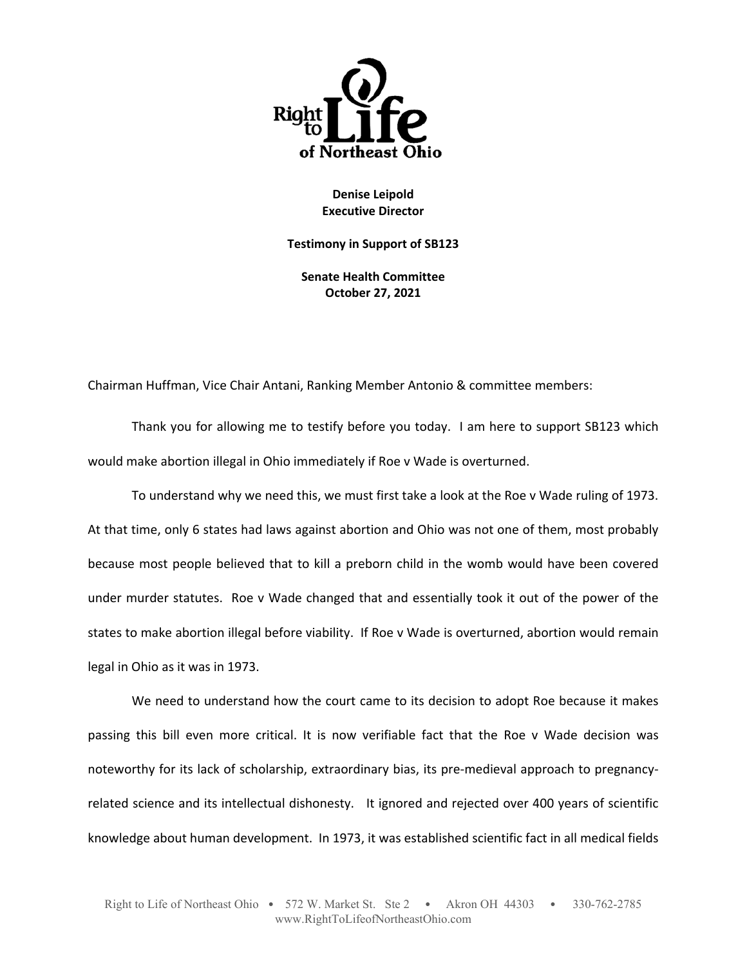

**Denise Leipold Executive Director** 

**Testimony in Support of SB123** 

**Senate Health Committee October 27, 2021** 

Chairman Huffman, Vice Chair Antani, Ranking Member Antonio & committee members:

Thank you for allowing me to testify before you today. I am here to support SB123 which would make abortion illegal in Ohio immediately if Roe v Wade is overturned.

To understand why we need this, we must first take a look at the Roe v Wade ruling of 1973. At that time, only 6 states had laws against abortion and Ohio was not one of them, most probably because most people believed that to kill a preborn child in the womb would have been covered under murder statutes. Roe v Wade changed that and essentially took it out of the power of the states to make abortion illegal before viability. If Roe v Wade is overturned, abortion would remain legal in Ohio as it was in 1973.

We need to understand how the court came to its decision to adopt Roe because it makes passing this bill even more critical. It is now verifiable fact that the Roe v Wade decision was noteworthy for its lack of scholarship, extraordinary bias, its pre-medieval approach to pregnancyrelated science and its intellectual dishonesty. It ignored and rejected over 400 years of scientific knowledge about human development. In 1973, it was established scientific fact in all medical fields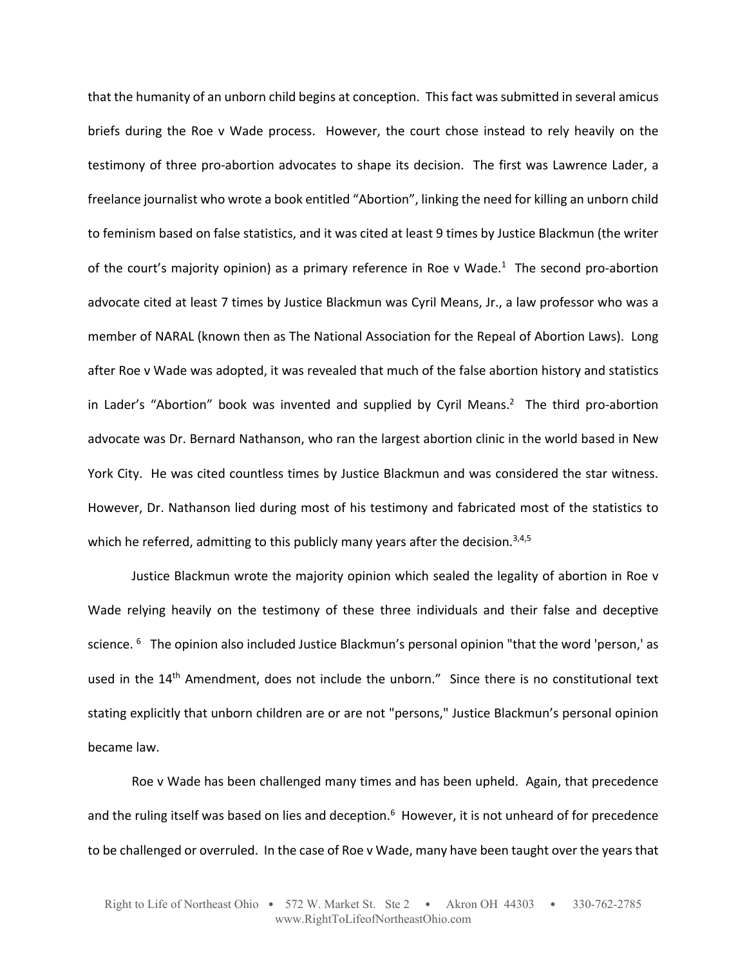that the humanity of an unborn child begins at conception. This fact was submitted in several amicus briefs during the Roe v Wade process. However, the court chose instead to rely heavily on the testimony of three pro-abortion advocates to shape its decision. The first was Lawrence Lader, a freelance journalist who wrote a book entitled "Abortion", linking the need for killing an unborn child to feminism based on false statistics, and it was cited at least 9 times by Justice Blackmun (the writer of the court's majority opinion) as a primary reference in Roe v Wade.<sup>1</sup> The second pro-abortion advocate cited at least 7 times by Justice Blackmun was Cyril Means, Jr., a law professor who was a member of NARAL (known then as The National Association for the Repeal of Abortion Laws). Long after Roe v Wade was adopted, it was revealed that much of the false abortion history and statistics in Lader's "Abortion" book was invented and supplied by Cyril Means.<sup>2</sup> The third pro-abortion advocate was Dr. Bernard Nathanson, who ran the largest abortion clinic in the world based in New York City. He was cited countless times by Justice Blackmun and was considered the star witness. However, Dr. Nathanson lied during most of his testimony and fabricated most of the statistics to which he referred, admitting to this publicly many years after the decision.<sup>3,4,5</sup>

Justice Blackmun wrote the majority opinion which sealed the legality of abortion in Roe v Wade relying heavily on the testimony of these three individuals and their false and deceptive science. <sup>6</sup> The opinion also included Justice Blackmun's personal opinion "that the word 'person,' as used in the 14<sup>th</sup> Amendment, does not include the unborn." Since there is no constitutional text stating explicitly that unborn children are or are not "persons," Justice Blackmun's personal opinion became law.

Roe v Wade has been challenged many times and has been upheld. Again, that precedence and the ruling itself was based on lies and deception.<sup>6</sup> However, it is not unheard of for precedence to be challenged or overruled. In the case of Roe v Wade, many have been taught over the years that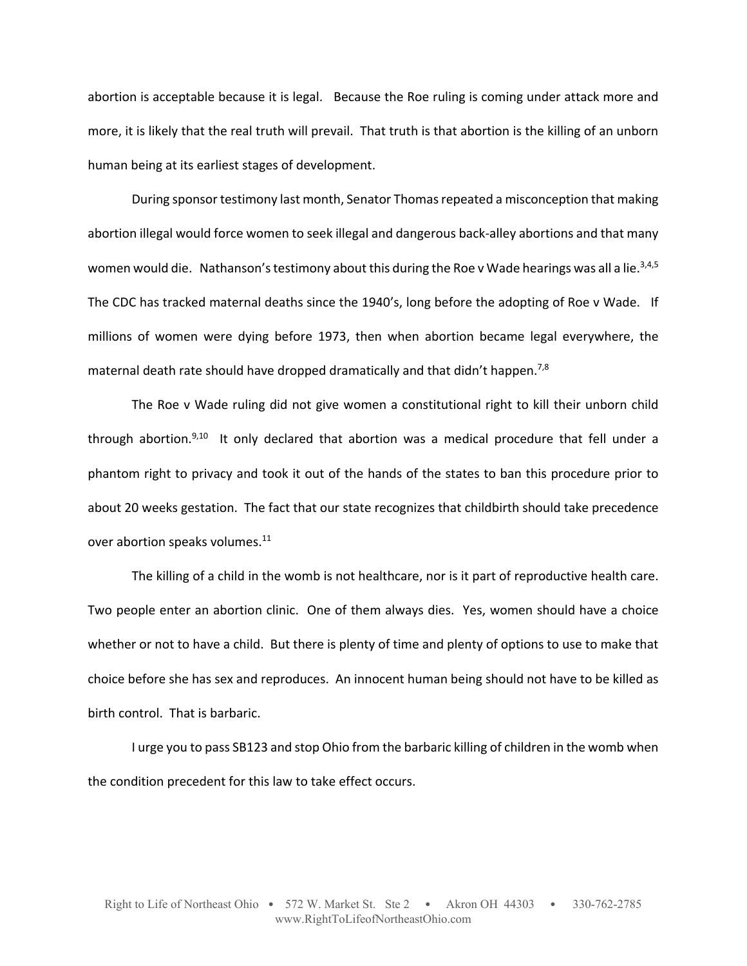abortion is acceptable because it is legal. Because the Roe ruling is coming under attack more and more, it is likely that the real truth will prevail. That truth is that abortion is the killing of an unborn human being at its earliest stages of development.

During sponsor testimony last month, Senator Thomas repeated a misconception that making abortion illegal would force women to seek illegal and dangerous back‐alley abortions and that many women would die. Nathanson's testimony about this during the Roe v Wade hearings was all a lie.<sup>3,4,5</sup> The CDC has tracked maternal deaths since the 1940's, long before the adopting of Roe v Wade. If millions of women were dying before 1973, then when abortion became legal everywhere, the maternal death rate should have dropped dramatically and that didn't happen.<sup>7,8</sup>

The Roe v Wade ruling did not give women a constitutional right to kill their unborn child through abortion.<sup>9,10</sup> It only declared that abortion was a medical procedure that fell under a phantom right to privacy and took it out of the hands of the states to ban this procedure prior to about 20 weeks gestation. The fact that our state recognizes that childbirth should take precedence over abortion speaks volumes.<sup>11</sup>

The killing of a child in the womb is not healthcare, nor is it part of reproductive health care. Two people enter an abortion clinic. One of them always dies. Yes, women should have a choice whether or not to have a child. But there is plenty of time and plenty of options to use to make that choice before she has sex and reproduces. An innocent human being should not have to be killed as birth control. That is barbaric.

I urge you to pass SB123 and stop Ohio from the barbaric killing of children in the womb when the condition precedent for this law to take effect occurs.